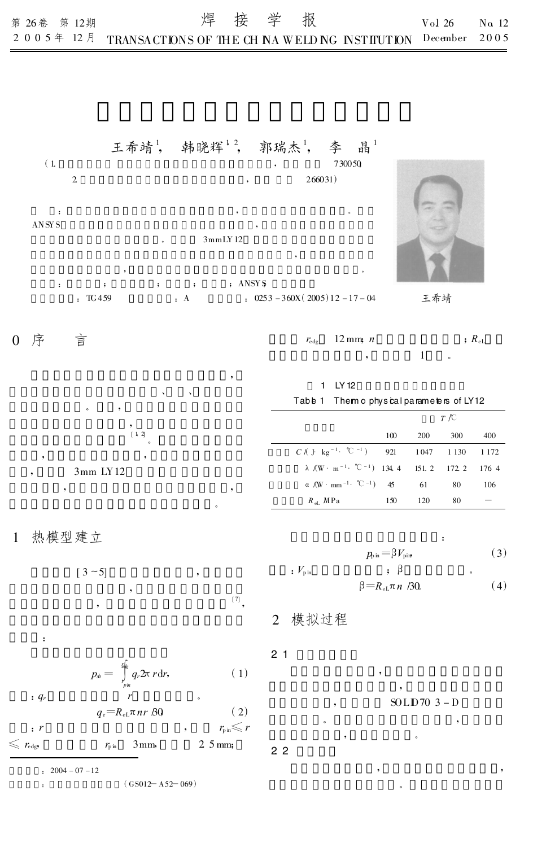## 王希靖<sup>1</sup>, 韩晓辉<sup>12</sup>, 郭瑞杰<sup>1</sup>, 李 晶<sup>1</sup>

 $(1. 730050)$  $2 \t 266031$ : , 。 ANSYS , 3mmLY12

 $\sim$ : ; ; ; ; ; ; ; ANSY \$ : TG459 : A : 0253-360X(2005)12-17-04 王希靖

;  $R_{\rm eL}$ 

| 0 序 言 |  | $r_{\text{edge}}$ 12 mm; n |  |
|-------|--|----------------------------|--|
|       |  |                            |  |

。

 $^{[7]}$ 

 $\mathbf{v} = \mathbf{v}$ 。 , [ 1, 2] 。 , ,

> 3mm LY12 , ,

# Table 1 Them o physical parameters of LY12

1 LY12

|                                                                             | T/C |            |     |     |
|-----------------------------------------------------------------------------|-----|------------|-----|-----|
|                                                                             | 100 | <b>200</b> | 300 | 400 |
| $C / (J \log^{-1} \degree C^{-1})$ 921 1047 1130 1172                       |     |            |     |     |
| $\lambda$ (W · m <sup>-1</sup> · °C <sup>-1</sup> ) 134.4 151.2 172.2 176.4 |     |            |     |     |
| $\alpha$ /(W $\cdot$ mm <sup>-1</sup> $\cdot$ °C <sup>-1</sup> ) 45         |     | 61         | 80  | 106 |
| $R_{\text{el}}$ MPa                                                         | 150 | 120        | 80  |     |

### 1 热模型建立

:

 $[3 - 5]$ 

 $p_{\text{pin}} = \beta V_{\text{pin}}$  (3) :  $V_{\rm{pin}}$  ;  $\beta$  ,  $\ldots$  $(4)$ 

:

### 2 模拟过程

2. 1

$$
p_{\scriptscriptstyle\#} = \int\limits_{\scriptscriptstyle\gamma_{\scriptscriptstyle\#}}^{\scriptscriptstyle\frac{\epsilon}{\scriptscriptstyle\#}} q_r \mathfrak{D}\tau \, d\mathfrak{r},\tag{1}
$$

 $q_{\rm r} = R_{\rm eL} \pi n r B_0$  (2) :  $r \longrightarrow r_{\text{pin}} \leqslant r$ 

 $\leqslant$   $r_{\text{edge}}$   $r_{\text{pin}}$  3 mm, 2.5 mm;

:  $2004 - 07 - 12$ 

: (GS012— A52— 069)

$$
\beta P_{\text{p}} \qquad P_{\text{p}} \qquad P_{\text{p}}
$$
\nin\n
$$
\beta = R_{\text{el}} \pi n / 30
$$

, SOLID70 3 - D

, ,

 $\bullet$  , and the set of  $\bullet$  , and the set of  $\bullet$  , and the set of  $\bullet$ , where  $\mathbf{r}$ 

。

$$
2\ 2
$$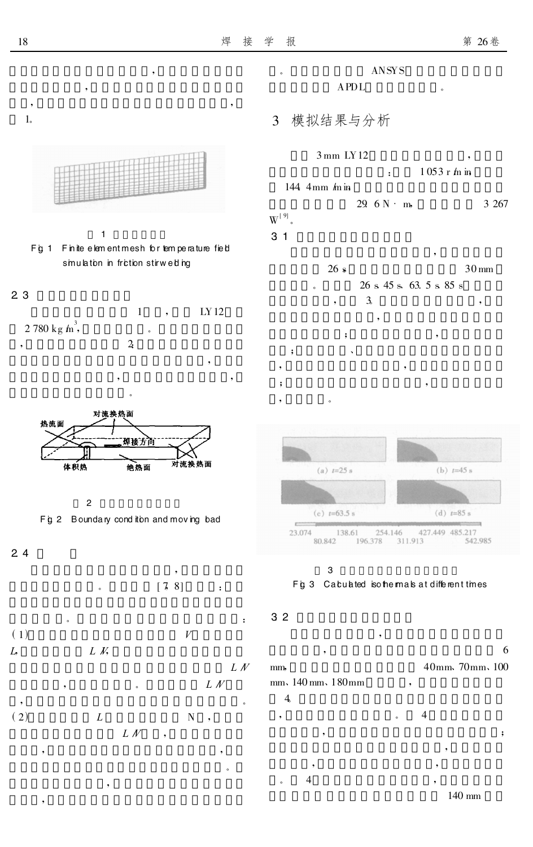

 $\overline{4}$ 

6

 $\mathbf{.}$ 

140 mm

 $1<sub>o</sub>$ 

 $2<sub>3</sub>$ 

 $24$ 

 $(1)$ 

 $(2)$ 

L,

热流面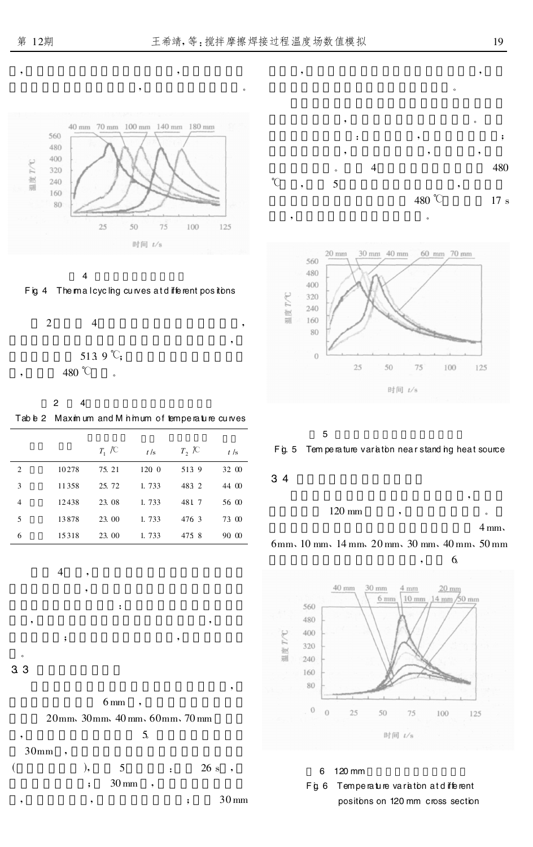







 $\overline{2}$  $\overline{4}$ 

|        | 5139 | "( |
|--------|------|----|
| 480 °C |      |    |

 $\overline{c}$  $\overline{4}$ 

Table 2 Maximum and M himum of temperature curves

|                |       | $T_1 \not\uparrow C$ | t/s   | $T$ , $\mathcal{K}$ | t/s   |
|----------------|-------|----------------------|-------|---------------------|-------|
| 2              | 10278 | 75.21                | 120 0 | 5139                | 32 00 |
| 3              | 11358 | 25.72                | 1.733 | 483 2               | 44 00 |
| $\overline{4}$ | 12438 | 23.08                | 1.733 | 481 7               | 56 00 |
| 5              | 13878 | 23.00                | 1.733 | 476 3               | 73 00 |
| 6              | 15318 | 23.00                | 1.733 | 4758                | 90 00 |

 $\overline{\mathcal{A}}$ 

 $\ddot{\phantom{0}},$ 

 $3<sub>3</sub>$ 



 $\ddot{\phantom{a}}$ 











### Fg. 5 Tem perature variation near standing heat source









 $\epsilon$ 



6 120 mm

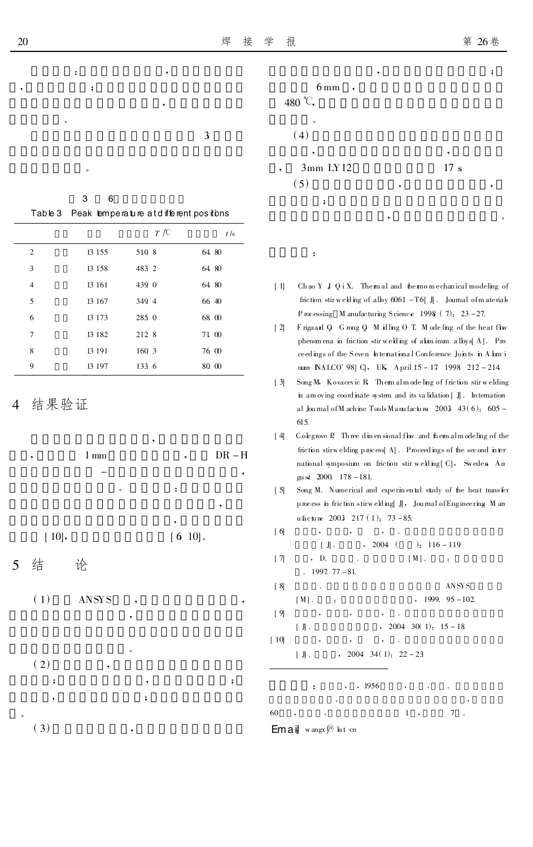3

76 00

80 00

 $\ddot{\phantom{0}},$ 

| $6 \,\mathrm{mm}$<br>$\cdot$ ,<br>480 °C, |   |          |
|-------------------------------------------|---|----------|
| $\circ$<br>(4)                            |   |          |
| ۰<br>$3mm$ LY12                           |   | ,<br>17s |
| (5)<br>;                                  | , |          |

 $\ddot{\cdot}$ 

- Chao Y J Q i X. Themal and themomechanical modeling of  $[1]$ friction stir welling of alloy  $6061 - T6$ [J]. Journal of materials Processing M anufacturing Science 1998 (7):  $23 - 27$ .
- $\lceil 2 \rceil$ Frigaard Q Grong Q M idling O T. M odeling of the heat flow phenomena in friction stir welding of aluminum alloys A. Pro ceedings of the Seven International Conference Joints in Alum-i num NALCO' 98[ C], UK April 15 - 17 1998 212 - 214
- Song M, Kovacevic R Them almode ling of friction stir welding  $[3]$ in amoving coordinate system and its validation  $\lceil \cdot \rceil$ . In ternation al Journal of M achine Tools M anufacture 2003 43(6):  $605 -$ 615.
- Colegrove P, Three dimensional flow and them almodeling of the  $\lceil 4 \rceil$ friction stirwelding process<br>[  $\mathbf{A}]$  . Proceedings of the second inter national symposium on friction stir welding [C], Sweden Au gu st 2000. 178 - 181.
- $[5]$ Song M. Numerical and experimental study of the heat transfer  $\mathbf p$  nocess in friction stirw  $\mathbf e\mathbf h$  ing[  $\mathbb J\mathbf j$  ,  $\mathbf y$  Jou mal of Engineering  $\mathbf M$  and u facture 2003 217 (1): 73 - 85.
- $\lceil 6 \rceil$  $\ddot{\phantom{a}}$  $, 2004$  (  $[$   $J$   $]$ .  $\div$  116 – 119  $[7]$ , D.  $[M]$ .  $\ddot{\phantom{a}}$  $. 199777 - 81.$  $[8]$ ANSYS  $[M]$ .  $. 1999. 95 - 102$  $[9]$ 2004 30(1):  $15 - 18$  $[J].$  $[10]$ 2004 34(1):  $22 - 23$  $[J].$

, 1956  $\ddot{\cdot}$ 60  $1 \cdot$  $7 \cdot$ 

 $Em \, ai$  wangx $\sqrt{\omega}$  lut on

Table 3 Peak temperature atdifferent positions  $T \not\uparrow C$  $t$  /s  $\overline{2}$ 13 155 510 8 64 80  $\overline{3}$ 13 15 8 483 2 64 80  $\overline{4}$ 13 16 1 439 0 64 80 5 13 167 349 4 66 40 13 173  $2850$ 68 00 6 13 18 2 212 8 71 00  $\overline{7}$ 

 $160<sup>3</sup>$ 

133 6

结果验证

 $\mathbf{8}$ 

 $\overline{Q}$ 

5

 $1<sub>mm</sub>$  $DR - H$  $[6 10]$ .  $[10]$ , 结 论

 $(1)$ **ANSYS** 

 $(2)$ ;

- $\ddot{\phantom{0}},$
- $(3)$

 $\ddot{\cdot}$ 

 $\cdot$ 

3

13 19 1

13 197

6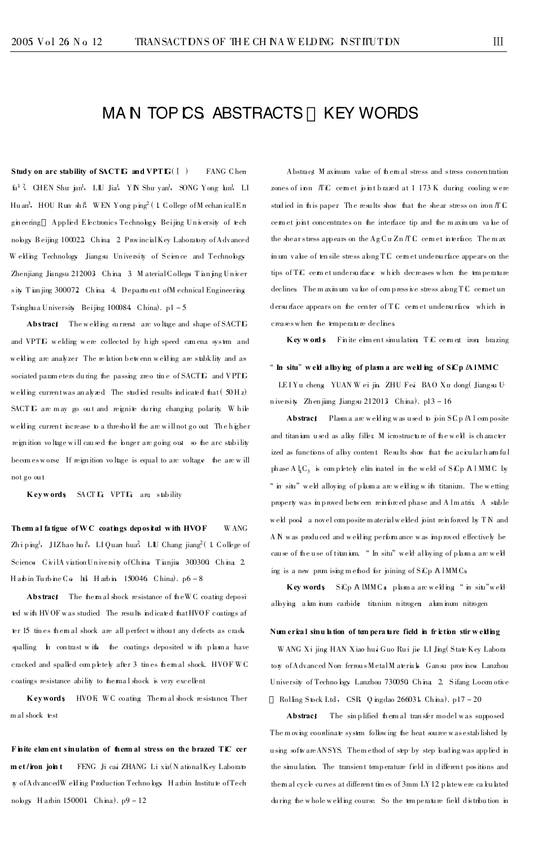# MAN TOP CS ABSTRACTS KEY WORDS

Study on arc stability of SACTIG and VPTIG( $[1]$ ) FANG Chen fu<sup>1</sup><sup>2</sup>, CHEN Shur jun<sup>1</sup>, LIU Jia<sup>1</sup>, YN Shur yan<sup>1</sup>, SONG Yong lun<sup>1</sup>, LI Huan<sup>3</sup>, HOU Run sh 1<sup>4</sup>, WEN Yong ping<sup>2</sup> (1 College of Mechanical En gineering Applied Electronics Technology Beijing University of tech nobgy Beijing 100022 China 2 ProvincialKey Laboratory of Advanced Welling Technology Jiangsu University of Science and Technology Zhenjiang Jiangsu 212003 China 3 Material College Tianjing Univer sity Tian jing 300072 China 4. Department of Mechnical Engineering Tsinghu a University Beijing 100084 China).  $p1 - 5$ 

Abstract The welding current are voltage and shape of SACTIG and VPTL welding were collected by high speed camena system and welding are analyzer. The relation betwenn welding are stabklity and as sociated parameters during the passing zreo time of SACTIG and VPTIG welding current was an alyzed The studied results indicated that (50 Hz) SACT LG are may go out and reignite during changing polarity. While welding current increase to a threshold the arc will not go out The higher reignition voltage will caused the longer arc going out so the arc stability becomes worse If reignition voltage is equal to are voltage the arc will not go ou t

**Keywords** SACTIG VPTG are stability

Them al fatigue of WC coatings deposited with HVOF W ANG Zhi ping<sup>1</sup>, JIZhao hui<sup>1</sup>, LI Quan hua<sup>2</sup>, LIU Chang jiang<sup>2</sup> (1 College of Science CivilA viation University of China Tianjin 300300 China 2. Habin Turbine Co ltd Harbin 150046 China).  $p6 - 8$ 

Abstract The them al shock resistance of the WC coating deposit ted with HVOF was studied The results indicated that HVOF coatings af ter 15 tines themal shock are all perfect without any defects as crack spalling In contrast with the coatings deposited with plasma have cracked and spalled completely after 3 times themal shock. HVOFWC coatings resistance ability to thermal shock is very excellent

Keywords HVOF, WC coating Themal shock resistance Ther mal shock test

Finite element simulation of them all stress on the brazed TiC cer-FENG Ji cai ZHANG Li xia(NationalKey Laborato met/iron\_ioint **r**y of AdvancedW elding Production Technology Harbin Institute of Tech nobgy Harbin 150001 China). p9-12

Abstract Maximum value of themal stress and stress concentration zones of inn ATC cemet joint brazed at 1 173 K during cooling were studied in this paper. The results show that the shear stress on iron  $\pi c$ cemet pint concentrates on the interface tip and the maximum value of the shear stress appears on the  $AgC \pi Zn \pi C$  cemet interface. The max in um value of tensile stress abong TC cem et undersurface appears on the tips of TiC cern et undersurface which decreases when the temperature declines The maximum value of compressive stress abig TC cermet un dersurface appears on the center of TC cemet undersurface which in creases when the temperature declines

Key words Finite element simulation TiC cermet impo brazing

### " In situ" weld a lloving of plasm a arc welding of SiCp A IMMC

LEIYu cheng YUAN W ei jin ZHU Fei BAO Xu dong( Jiangsu University Zhenjiang Jiangsu 212013 China). p13 - 16

Abstract Plasm a arc welding was used to join SC p /A l composite and titanium used as alby filler M icrostructure of the weld is character ized as functions of alby content Results show that the acicular ham ful phase  $A \downarrow C_3$  is completely eliminated in the weld of SiCp AlMMC by " in situ" well alloying of plasma are welling with titanium. The wetting property was in proved between reinforced phase and Almatrix A stable weld pool a novel composite material welded pint reinforced by TN and A N was produced and welding performance was improved effectively be cause of the use of titanium. "In situ" well alloying of plasma are well ing is a new promising method for pining of SiCp A 1MMCs

Key words SiCp A IMMCs plasma are welding "ir situ" weldalbying a lm inum carbide titanium nitrogen a lum inum nitrogen

### Numerical sinu lation of temperature field in friction stirwelding

WANG Xi jing HAN Xiao hui Guo Rui jie LI Jing State Key Labora tow of Advanced Non-ferrous Metal Materials Gansu province Lanzhou University of Technology Lanzhou 730050 China 2. Sifang Locom otive

Rolling Stock Ltd, CSR Q ingdao 266031, China). p17-20

Abstract The sinplified them al transfer model was supposed The moving coordinate system following the heat source was established by using software ANSYS. Them ethod of step by step bading was applied in the simulation. The transient temperature field in different positions and them al cycle curves at different times of 3mm LY 12 platewere calculated during the whole welding course. So the temperature field distribution in